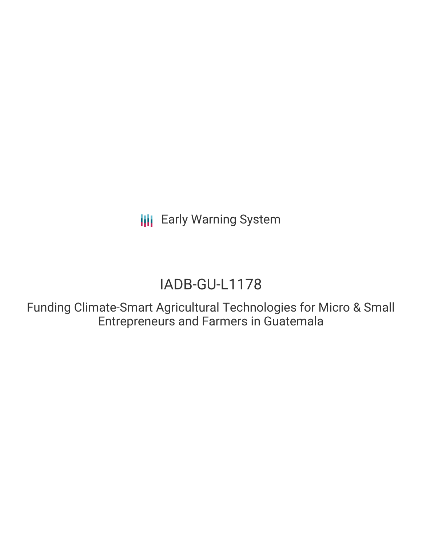**III** Early Warning System

# IADB-GU-L1178

Funding Climate-Smart Agricultural Technologies for Micro & Small Entrepreneurs and Farmers in Guatemala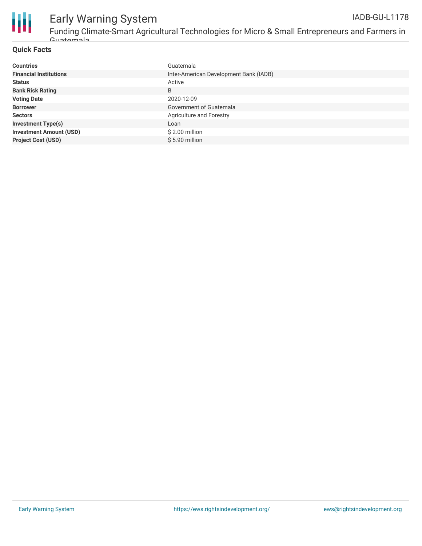

# Early Warning System

Funding Climate-Smart Agricultural Technologies for Micro & Small Entrepreneurs and Farmers in Guatemala

#### **Quick Facts**

| <b>Countries</b>               | Guatemala                              |
|--------------------------------|----------------------------------------|
| <b>Financial Institutions</b>  | Inter-American Development Bank (IADB) |
| <b>Status</b>                  | Active                                 |
| <b>Bank Risk Rating</b>        | B                                      |
| <b>Voting Date</b>             | 2020-12-09                             |
| <b>Borrower</b>                | Government of Guatemala                |
| <b>Sectors</b>                 | Agriculture and Forestry               |
| <b>Investment Type(s)</b>      | Loan                                   |
| <b>Investment Amount (USD)</b> | $$2.00$ million                        |
| <b>Project Cost (USD)</b>      | $$5.90$ million                        |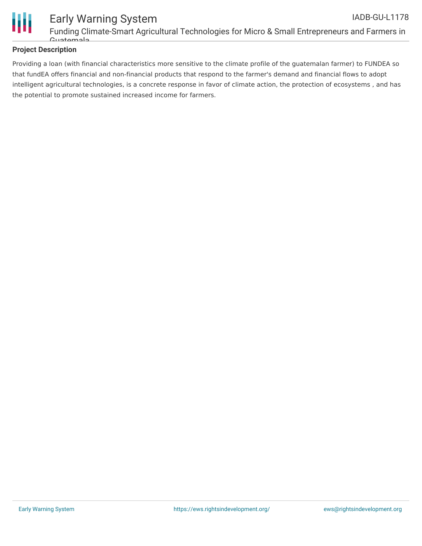

## **Project Description**

Providing a loan (with financial characteristics more sensitive to the climate profile of the guatemalan farmer) to FUNDEA so that fundEA offers financial and non-financial products that respond to the farmer's demand and financial flows to adopt intelligent agricultural technologies, is a concrete response in favor of climate action, the protection of ecosystems , and has the potential to promote sustained increased income for farmers.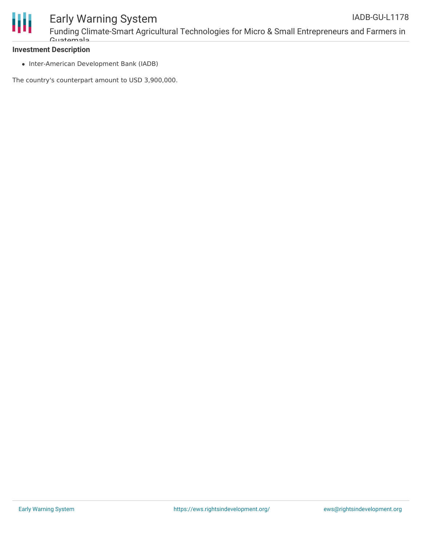

#### **Investment Description**

• Inter-American Development Bank (IADB)

The country's counterpart amount to USD 3,900,000.